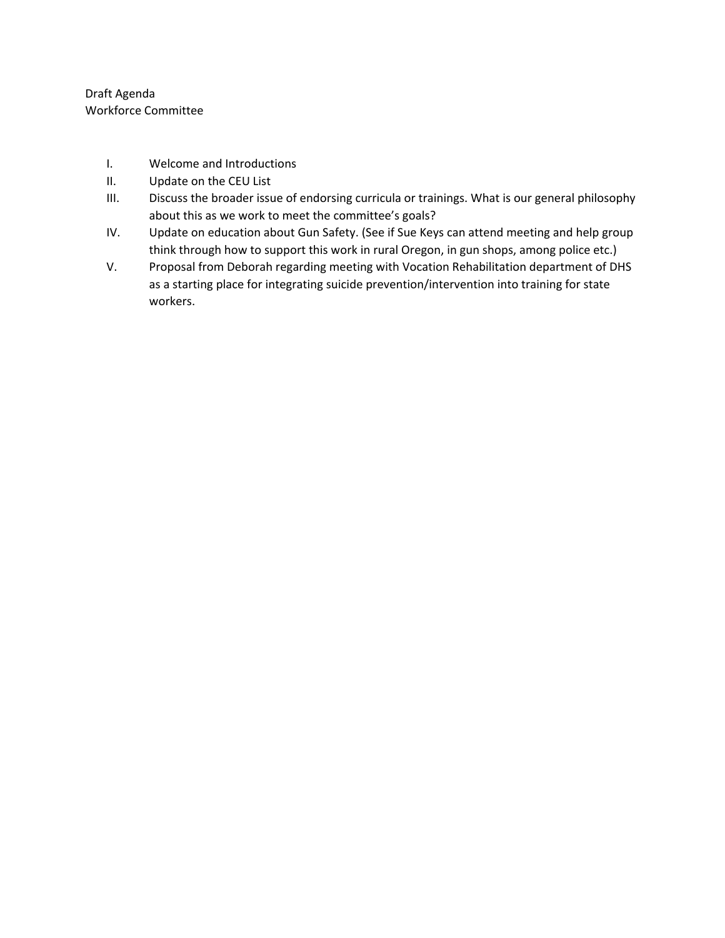Draft Agenda Workforce Committee

- I. Welcome and Introductions
- II. Update on the CEU List
- III. Discuss the broader issue of endorsing curricula or trainings. What is our general philosophy about this as we work to meet the committee's goals?
- IV. Update on education about Gun Safety. (See if Sue Keys can attend meeting and help group think through how to support this work in rural Oregon, in gun shops, among police etc.)
- V. Proposal from Deborah regarding meeting with Vocation Rehabilitation department of DHS as a starting place for integrating suicide prevention/intervention into training for state workers.